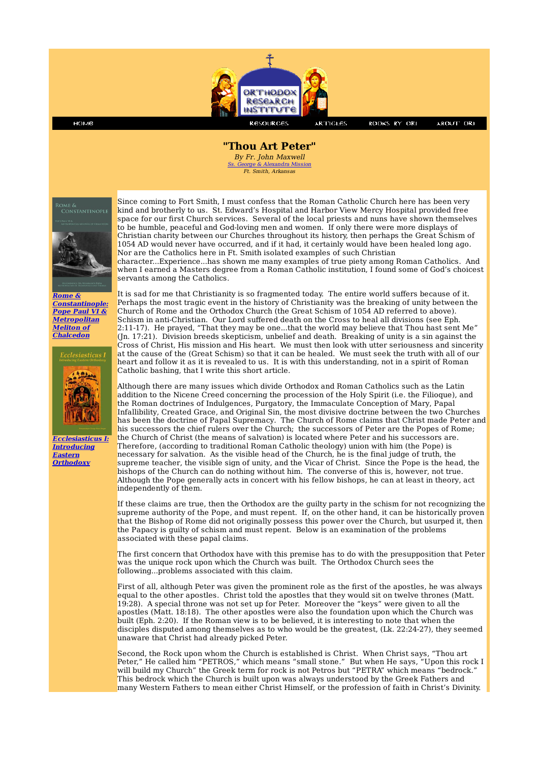

**ROOKS RY ORI** 

**ABOUT ORI** 

## **"Thou Art Peter"**

By Fr. John Maxwell George & Alexandra Mission Ft. Smith, Arkansas



номе

**Rome & Constantinople: Pope Paul VI & Metropolitan Meliton of Chalcedon**



**Ecclesiasticus I: Introducing Eastern Orthodoxy**

Since coming to Fort Smith, I must confess that the Roman Catholic Church here has been very kind and brotherly to us. St. Edward's Hospital and Harbor View Mercy Hospital provided free space for our first Church services. Several of the local priests and nuns have shown themselves to be humble, peaceful and God-loving men and women. If only there were more displays of Christian charity between our Churches throughout its history, then perhaps the Great Schism of 1054 AD would never have occurred, and if it had, it certainly would have been healed long ago. Nor are the Catholics here in Ft. Smith isolated examples of such Christian

character...Experience...has shown me many examples of true piety among Roman Catholics. And when I earned a Masters degree from a Roman Catholic institution, I found some of God's choicest servants among the Catholics.

It is sad for me that Christianity is so fragmented today. The entire world suffers because of it. Perhaps the most tragic event in the history of Christianity was the breaking of unity between the Church of Rome and the Orthodox Church (the Great Schism of 1054 AD referred to above). Schism in anti-Christian. Our Lord suffered death on the Cross to heal all divisions (see Eph. 2:11-17). He prayed, "That they may be one...that the world may believe that Thou hast sent Me" (Jn. 17:21). Division breeds skepticism, unbelief and death. Breaking of unity is a sin against the Cross of Christ, His mission and His heart. We must then look with utter seriousness and sincerity at the cause of the (Great Schism) so that it can be healed. We must seek the truth with all of our heart and follow it as it is revealed to us. It is with this understanding, not in a spirit of Roman Catholic bashing, that I write this short article.

Although there are many issues which divide Orthodox and Roman Catholics such as the Latin addition to the Nicene Creed concerning the procession of the Holy Spirit (i.e. the Filioque), and the Roman doctrines of Indulgences, Purgatory, the Immaculate Conception of Mary, Papal Infallibility, Created Grace, and Original Sin, the most divisive doctrine between the two Churches has been the doctrine of Papal Supremacy. The Church of Rome claims that Christ made Peter and his successors the chief rulers over the Church; the successors of Peter are the Popes of Rome; the Church of Christ (the means of salvation) is located where Peter and his successors are. Therefore, (according to traditional Roman Catholic theology) union with him (the Pope) is necessary for salvation. As the visible head of the Church, he is the final judge of truth, the supreme teacher, the visible sign of unity, and the Vicar of Christ. Since the Pope is the head, the bishops of the Church can do nothing without him. The converse of this is, however, not true. Although the Pope generally acts in concert with his fellow bishops, he can at least in theory, act independently of them.

If these claims are true, then the Orthodox are the guilty party in the schism for not recognizing the supreme authority of the Pope, and must repent. If, on the other hand, it can be historically proven that the Bishop of Rome did not originally possess this power over the Church, but usurped it, then the Papacy is guilty of schism and must repent. Below is an examination of the problems associated with these papal claims.

The first concern that Orthodox have with this premise has to do with the presupposition that Peter was the unique rock upon which the Church was built. The Orthodox Church sees the following...problems associated with this claim.

First of all, although Peter was given the prominent role as the first of the apostles, he was always equal to the other apostles. Christ told the apostles that they would sit on twelve thrones (Matt. 19:28). A special throne was not set up for Peter. Moreover the "keys" were given to all the apostles (Matt. 18:18). The other apostles were also the foundation upon which the Church was built (Eph. 2:20). If the Roman view is to be believed, it is interesting to note that when the disciples disputed among themselves as to who would be the greatest, (Lk. 22:24-27), they seemed unaware that Christ had already picked Peter.

Second, the Rock upon whom the Church is established is Christ. When Christ says, "Thou art Peter," He called him "PETROS," which means "small stone." But when He says, "Upon this rock I will build my Church" the Greek term for rock is not Petros but "PETRA" which means "bedrock." This bedrock which the Church is built upon was always understood by the Greek Fathers and many Western Fathers to mean either Christ Himself, or the profession of faith in Christ's Divinity.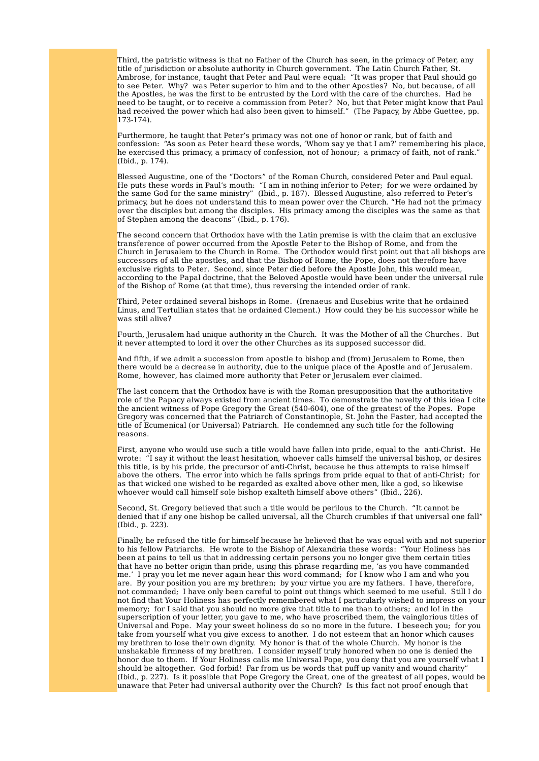Third, the patristic witness is that no Father of the Church has seen, in the primacy of Peter, any title of jurisdiction or absolute authority in Church government. The Latin Church Father, St. Ambrose, for instance, taught that Peter and Paul were equal: "It was proper that Paul should go to see Peter. Why? was Peter superior to him and to the other Apostles? No, but because, of all the Apostles, he was the first to be entrusted by the Lord with the care of the churches. Had he need to be taught, or to receive a commission from Peter? No, but that Peter might know that Paul had received the power which had also been given to himself." (The Papacy, by Abbe Guettee, pp. 173-174).

Furthermore, he taught that Peter's primacy was not one of honor or rank, but of faith and confession: "As soon as Peter heard these words, 'Whom say ye that I am?' remembering his place, he exercised this primacy, a primacy of confession, not of honour; a primacy of faith, not of rank." (Ibid., p. 174).

Blessed Augustine, one of the "Doctors" of the Roman Church, considered Peter and Paul equal. He puts these words in Paul's mouth: "I am in nothing inferior to Peter; for we were ordained by the same God for the same ministry" (Ibid., p. 187). Blessed Augustine, also referred to Peter's primacy, but he does not understand this to mean power over the Church. "He had not the primacy over the disciples but among the disciples. His primacy among the disciples was the same as that of Stephen among the deacons" (Ibid., p. 176).

The second concern that Orthodox have with the Latin premise is with the claim that an exclusive transference of power occurred from the Apostle Peter to the Bishop of Rome, and from the Church in Jerusalem to the Church in Rome. The Orthodox would first point out that all bishops are successors of all the apostles, and that the Bishop of Rome, the Pope, does not therefore have exclusive rights to Peter. Second, since Peter died before the Apostle John, this would mean, according to the Papal doctrine, that the Beloved Apostle would have been under the universal rule of the Bishop of Rome (at that time), thus reversing the intended order of rank.

Third, Peter ordained several bishops in Rome. (Irenaeus and Eusebius write that he ordained Linus, and Tertullian states that he ordained Clement.) How could they be his successor while he was still alive?

Fourth, Jerusalem had unique authority in the Church. It was the Mother of all the Churches. But it never attempted to lord it over the other Churches as its supposed successor did.

And fifth, if we admit a succession from apostle to bishop and (from) Jerusalem to Rome, then there would be a decrease in authority, due to the unique place of the Apostle and of Jerusalem. Rome, however, has claimed more authority that Peter or Jerusalem ever claimed.

The last concern that the Orthodox have is with the Roman presupposition that the authoritative role of the Papacy always existed from ancient times. To demonstrate the novelty of this idea I cite the ancient witness of Pope Gregory the Great (540-604), one of the greatest of the Popes. Pope Gregory was concerned that the Patriarch of Constantinople, St. John the Faster, had accepted the title of Ecumenical (or Universal) Patriarch. He condemned any such title for the following reasons.

First, anyone who would use such a title would have fallen into pride, equal to the anti-Christ. He wrote: "I say it without the least hesitation, whoever calls himself the universal bishop, or desires this title, is by his pride, the precursor of anti-Christ, because he thus attempts to raise himself above the others. The error into which he falls springs from pride equal to that of anti-Christ; for as that wicked one wished to be regarded as exalted above other men, like a god, so likewise whoever would call himself sole bishop exalteth himself above others" (Ibid., 226).

Second, St. Gregory believed that such a title would be perilous to the Church. "It cannot be denied that if any one bishop be called universal, all the Church crumbles if that universal one fall" (Ibid., p. 223).

Finally, he refused the title for himself because he believed that he was equal with and not superior to his fellow Patriarchs. He wrote to the Bishop of Alexandria these words: "Your Holiness has been at pains to tell us that in addressing certain persons you no longer give them certain titles that have no better origin than pride, using this phrase regarding me, 'as you have commanded me.' I pray you let me never again hear this word command; for I know who I am and who you are. By your position you are my brethren; by your virtue you are my fathers. I have, therefore, not commanded; I have only been careful to point out things which seemed to me useful. Still I do not find that Your Holiness has perfectly remembered what I particularly wished to impress on your memory; for I said that you should no more give that title to me than to others; and lo! in the superscription of your letter, you gave to me, who have proscribed them, the vainglorious titles of Universal and Pope. May your sweet holiness do so no more in the future. I beseech you; for you take from yourself what you give excess to another. I do not esteem that an honor which causes my brethren to lose their own dignity. My honor is that of the whole Church. My honor is the unshakable firmness of my brethren. I consider myself truly honored when no one is denied the honor due to them. If Your Holiness calls me Universal Pope, you deny that you are yourself what I should be altogether. God forbid! Far from us be words that puff up vanity and wound charity" (Ibid., p. 227). Is it possible that Pope Gregory the Great, one of the greatest of all popes, would be unaware that Peter had universal authority over the Church? Is this fact not proof enough that